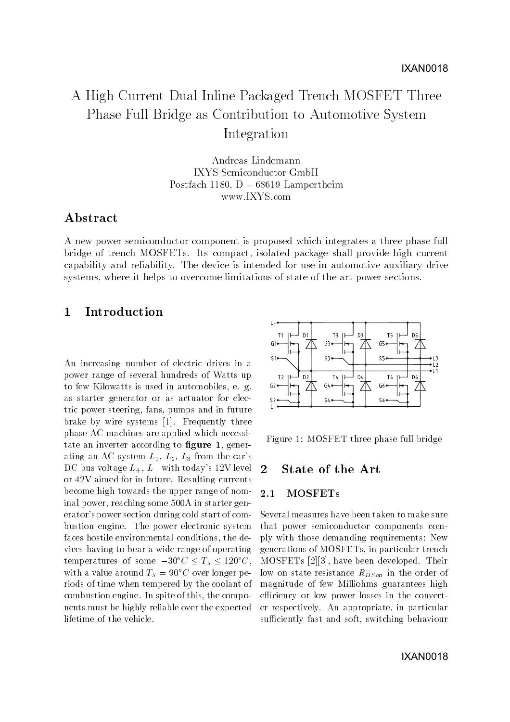# A High Current Dual Inline Packaged Trench MOSFET Three Phase Full Bridge as Contribution to Automotive System Integration

Andreas Lindemann IXYS Semiconductor GmbH Postfach - D - Lampertheim www.IXYS.com

# Abstract

A new power semiconductor component is proposed which integrates a three phase full bridge of trench MOSFETs Its compact isolated package shall provide high current capability and reliability The device is intended for use in automotive auxiliary drive systems, where it helps to overcome limitations of state of the art power sections.

### $\mathbf{1}$ Introduction

An increasing number of electric drives in a power range of several hundreds of Watts up to few Kilowatts is used in all  $\mathbf{f}$  and  $\mathbf{f}$  are defined in all  $\mathbf{f}$ as starter generator or as actuator for elec tric power steering, fans, pumps and in future brake by wire systems price requesting three components of phase AC machines are applied which necessi tate an inverter according to **ngure 1**, generating an AC system LL-C and AC system and AC system and AC system and AC system and AC system and AC system and DC bus voltage  $L_+$ ,  $L_-$  with today's 12V level <u>re le comme de la future de la future de la future de la future</u> become high towards the upper range of nom-<br>2.1 inal power reaching some A in starter gen erator's power section during cold start of combustion engine- The power electronic system faces hostile environmental conditions, the devices having to bear a wide range of operating temperatures of some  $-30^\circ \text{C} \leq I_S \leq 120^\circ \text{C}$ , with a value around  $I_S = 90^\circ$ C over longer periods of time when tempered by the coolant of communication engineers are a part of the component of the part of the components of the components of the components of the components of the components of the components of the components of the components of the compone nents must be highly reliable over the expected lifetime of the vehicle.



Figure 1: MOSFET three phase full bridge

### $\overline{2}$ State of the Art

## **MOSFETs**

Several measures have been taken to make sure that power semiconductor components com ply with those demanding requirements: New generations of MOSFETs in particular trench MOSFETs  have been developed- Their low on state resistance  $R_{DS\text{on}}$  in the order of magnitude of few Milliohms guarantees high efficiency or low power losses in the converter respectively-between the particular control of the control of the control of the control of the control of the control of the control of the control of the control of the control of the control of the control of the con sufficiently fast and soft, switching behaviour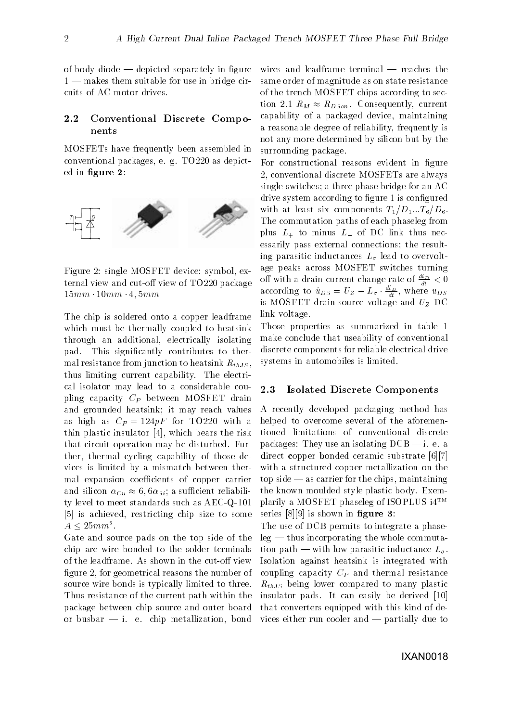of body diode  $-\theta$  depicted separately in figure  $1$  — makes them suitable for use in bridge circuits of AC motor drives.

### 2.2 Conventional Discrete Compo nents

MOSFETs have frequently been assembled in conventional packages e-mail packages e-mail packages e-mail packages e-mail packages e-mail packages e-mail packages e-mail packages e-mail packages e-mail packages e-mail packages e-mail packages e-mail packages e-mail p ed in figure 2:



Figure 2: single MOSFET device: symbol, external view and cut-off view of  $TO220$  package mm mm mm

The chip is soldered onto a copper leadframe which must be thermally coupled to heatsink through an additional electrically isolating pad-This significantly contributes to thermal resistance from junction to heatsink  $R_{thJS}$ , the electronic current capability, where the control  $\sim$ cal isolator may lead to a considerable cou pling capacity  $C_P$  between MOSFET drain and grounded heatsink; it may reach values as high as  $C_P = 124pF$  for TO 220 with a thin plastic insulator  $[4]$ , which bears the risk that circuit operation may be disturbed at  $\mathbf{r}$ ther, thermal cycling capability of those devices is limited by a mismatch between ther mal expansion coefficients of copper carrier and since  $\alpha$  is  $\alpha$  such that since  $\alpha$  such that  $\alpha$ ty level to meet standards such as  $AEC-Q-101$  is achieved restricting chip size to some  $A \leq 25mm$ .

Gate and source pads on the top side of the chip are wire bonded to the solder terminals figure 2, for geometrical reasons the number of source wire bonds is typically limited to three-Thus resistance of the current path within the package between chip source and outer board or busham and the second contraction bond of the chip metallization bond of the chip of the chip of the contract of the contract of the contract of the contract of the contract of the contract of the contract of the contra

wires and leadframe terminal  $-$  reaches the same order of magnitude as on state resistance of the trench MOSFET chips according to sec  $\mathcal{L}$  -  $\mathcal{L}$   $\mathcal{L}$   $\mathcal{L}$   $\mathcal{L}$   $\mathcal{L}$   $\mathcal{L}$   $\mathcal{L}$   $\mathcal{L}$   $\mathcal{L}$   $\mathcal{L}$   $\mathcal{L}$  -  $\mathcal{L}$  -  $\mathcal{L}$  -  $\mathcal{L}$  -  $\mathcal{L}$  -  $\mathcal{L}$  -  $\mathcal{L}$  -  $\mathcal{L}$  -  $\mathcal{L}$  -  $\mathcal{L}$  -  $\mathcal{L}$  capability of a packaged device, maintaining a reasonable degree of reliability frequently is not any more determined by silicon but by the surrounding package.

For constructional reasons evident in figure conventional discrete MOSFETs are always single switches; a three phase bridge for an  $AC$ drive system according to figure 1 is configured with a least six components  $\mathcal{L}=\{1, \ldots, 0\}$  and  $\mathcal{L}=\{1, \ldots, 0\}$ The commutation paths of each phaseleg from plus  $L_+$  to minus  $L_-$  of DC link thus necessarily pass external connections; the resulting parasitic inductances  $L_{\sigma}$  lead to overvoltage peaks across MOSFET switches turning on with a drain current change rate of  $\frac{u}{dt} < 0$ according to  $u_{DS} = U_Z - L_{\sigma} \cdot \frac{u}{dt}$ , where  $u_{DS}$ is MOSFET drain-source voltage and  $U_Z$  DC link voltage.

Those properties as summarized in table make conclude that useability of conventional discrete components for reliable electrical drive systems in automobiles is limited-

#### 2.3 Isolated Discrete Components

A recently developed packaging method has helped to overcome several of the aforemen tioned limitations of conventional discrete packages They use and increased DCB is a set of the set of the set of the set of the set of the set of the set direct copper bonded ceramic substrate [6][7] with a structured copper metallization on the  $top side - as carrier for the chips, maintaining$ the known mountains and the known mountains and the known mountains and the known mountains and the known mountains of the known mountains and the known mountains are the contract of the known mountains and the contract of plarily a MOSFET phaseleg of ISOPLUS  $i4^{TM}$ series  $[8][9]$  is shown in figure 3:

rthop being reduce compared to many plastic to The use of DCB permits to integrate a phase  $leg$  — thus incorporating the whole commutation path — with low parasitic inductance  $L_{\sigma}$ . Isolation against heatsink is integrated with coupling capacity  $C_P$  and thermal resistance insulator pads- It can easily be derived that converters equipped with this kind of de vices either run cooler and  $-$  partially due to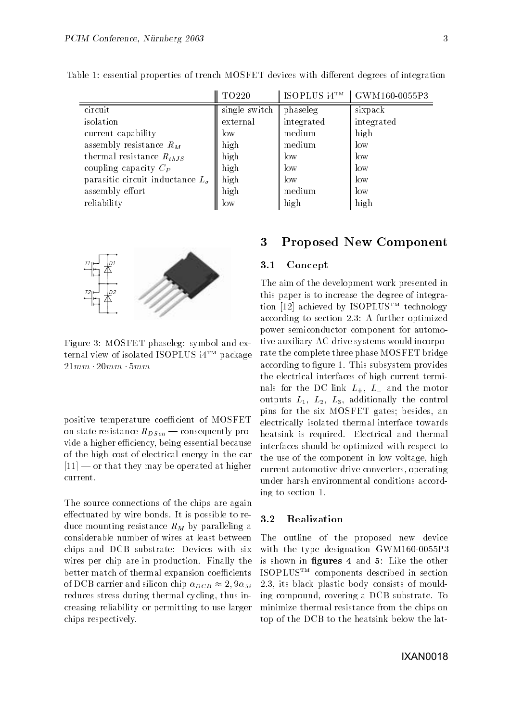|                                           | TO220         | ISOPLUS i4TM | GWM160-0055P3 |
|-------------------------------------------|---------------|--------------|---------------|
| circuit                                   | single switch | phaseleg     | sixpack       |
| isolation                                 | external      | integrated   | integrated    |
| current capability                        | low           | medium       | high          |
| assembly resistance $R_M$                 | high          | medium       | low           |
| thermal resistance $R_{th,IS}$            | high          | low          | low           |
| coupling capacity $C_P$                   | high          | low          | $\log$        |
| parasitic circuit inductance $L_{\sigma}$ | high          | low          | low           |
| assembly effort                           | high          | medium       | $\log$        |
| reliability                               | low           | high         | high          |

Table 1: essential properties of trench MOSFET devices with different degrees of integration



Figure 3: MOSFET phaseleg: symbol and external view of isolated ISOPLUS i4TM package mm mm mm

positive temperature coefficient of MOSFET on state resistance  $R_{DSon}$  - consequently provide a higher efficiency, being essential because of the high cost of electrical energy in the car  $[11]$  — or that they may be operated at higher current.

The source connections of the chips are again eectuated by with a section of the possible to reduce mounting resistance  $R_M$  by paralleling a considerable number of wires at least between chips and DCB substrate: Devices with six wires per chip are in production- in production- in production- in production- in production- in production- in productionbetter match of thermal expansion coefficients  $\cdots$   $\cdots$   $\cdots$   $\cdots$   $\cdots$   $\cdots$   $\cdots$   $\cdots$   $\cdots$   $\cdots$   $\cdots$   $\cdots$   $\cdots$   $\cdots$   $\cdots$   $\cdots$   $\cdots$   $\cdots$   $\cdots$   $\cdots$   $\cdots$   $\cdots$   $\cdots$   $\cdots$   $\cdots$   $\cdots$   $\cdots$   $\cdots$   $\cdots$   $\cdots$   $\cdots$   $\cdots$   $\cdots$   $\cdots$   $\cdots$   $\cdots$   $\cdots$ reduces stress during thermal cycling, thus increasing reliability or permitting to use larger chips respectively-

# Proposed New Component

#### $3.1$ Concept

The aim of the development work presented in this paper is to increase the degree of integra tion  $[12]$  achieved by ISOPLUS<sup>TM</sup> technology according to section and constructed by monocordinate power semiconductor component for automo tive auxiliary AC drive systems would incorpo rate the complete three phase MOSFET bridge according to gure - This subsystem provides the electrical interfaces of high current termi nals for the DC link  $L_+$ ,  $L_-$  and the motor outputs Lie additionally the control  $\mathcal{U}$ pins for the six MOSFET gates; besides, an electrically isolated thermal interface towards heatsink is required- Electrical and thermal interfaces should be optimized with respect to the use of the component in low voltage, high current automotive drive converters, operating under harsh environmental conditions accord ing to section  $1$ .

#### $3.2$ Realization

The outline of the proposed new device with the type designation GWM strategy and the type of the two contracts of the contract of the contract of the is shown in figures 4 and 5: Like the other ISOPLUSTM components described in section - its black plastic body consists of mould ing compound covering a DCB substrate- To minimize thermal resistance from the chips on top of the DCB to the heatsink below the lat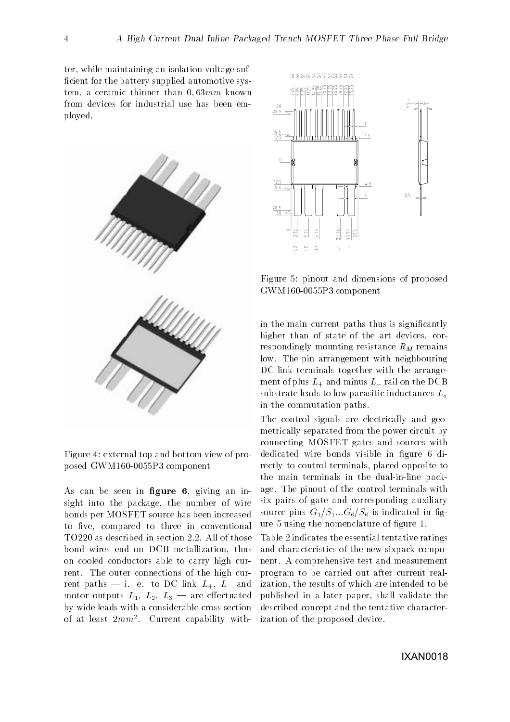ter, while maintaining an isolation voltage sufficient for the battery supplied automotive system, a ceramic thinner than  $0.63mm$  known from devices for industrial use has been em ployed-



Figure 4: external top and bottom view of proposed Gwm and Gwm and Gwm and Gwm and Gwm and Gwm and Gwm and Gwm and Gwm and Gwm and Gwm and Gwm and Gwm and Gw

As can be seen in figure  $6$ , giving an insight into the package, the number of wire bonds per MOSFET source has been increased to five, compared to three in conventional bond wires end on DCB metallization, thus on cooled conductors able to carry high cur rent- The outer connections of the high cur rent paths i-c i-c i-c - <del>and</del> - - - - - - motor outputs Literature Literature outputs Literature and Literature Control and Literature Control and Lite by wide leads with a considerable cross section of at least *zmm-* . Current capability with- I



Figure pinout and dimensions of proposed Gwys and do only a component of the component of the second service of the second service of the second service of the second service of the second service of the second service of the second service of the service of the

in the main current paths thus is signicantly higher than of state of the art devices, correspondingly mounting resistance  $R_M$  remains low- The pin arrangement with neighbouring DC link terminals together with the arrangement of plus  $L_+$  and minus  $L_-$  rail on the DCB substrate leads to low parasitic inductances  $L_{\sigma}$ in the commutation paths.

The control signals are electrically and geo metrically separated from the power circuit by connecting MOSFET gates and sources with dedicated wire bonds visible in figure 6 directly to control terminals, placed opposite to the main terminals in the dual-in-line package-the pinout of the pinout of the pinout of the control terminals with the control terminals with the control terminals with the control terminals with the control terminals with the control terminals with the control te six pairs of gate and corresponding auxiliary source pins GS-11 is 1999 to 1999 the interest category of the state in group of the state in group of the state in g ure and the nomenclature of gure - the nomenclature of gure - the nomenclature of gure - the nomenclature of g

Table 2 indicates the essential tentative ratings and characteristics of the new sixpack compo nent-test and measurement-test and measurement-test and measurement-test and measurement-test and measurementprogram to be carried out after current real ization, the results of which are intended to be published in a later paper, shall validate the described concept and the tentative character ization of the proposed device.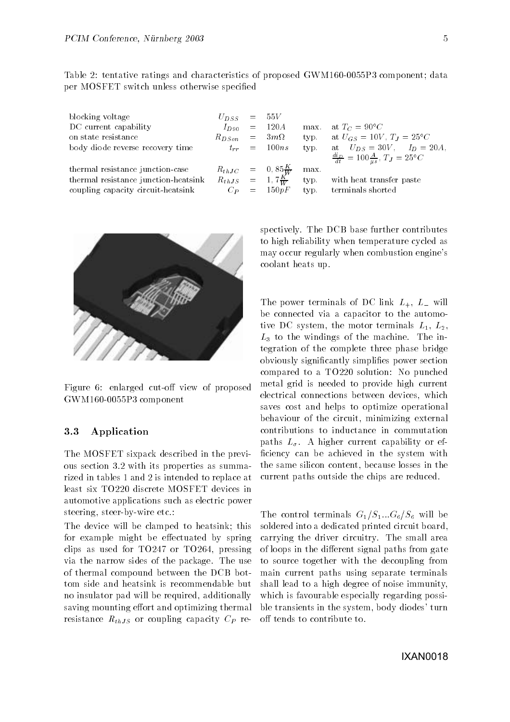Table tentative ratings and characteristics of proposed GWM P component data per MOSFET switch unless otherwise specified

| blocking voltage<br>DC current capability<br>on state resistance<br>body diode reverse recovery time | $U_{DSS}$ = 55V<br>$R_{DS \circ n}$ = $3m\Omega$ | $I_{D90}$ = 120A<br>$t_{rr} = 100ns$            | tvp.<br>typ. | max. at $T_C = 90^{\circ}C$<br>at $U_{GS} = 10V$ , $T_J = 25^{\circ}C$<br>at $U_{DS} = 30V, I_D = 20A,$<br>$\frac{di_D}{dt} = 100 \frac{A}{\mu s}, T_J = 25^{\circ}C$ |
|------------------------------------------------------------------------------------------------------|--------------------------------------------------|-------------------------------------------------|--------------|-----------------------------------------------------------------------------------------------------------------------------------------------------------------------|
| thermal resistance junction-case                                                                     |                                                  | $R_{thJC}$ = $0,85\frac{K}{W}$                  | max.         |                                                                                                                                                                       |
| thermal resistance junction-heatsink<br>coupling capacity circuit-heatsink                           |                                                  | $R_{thJS}$ = 1,7 $\frac{K}{W}$<br>$C_P = 150pF$ | typ.         | with heat transfer paste<br>typ. terminals shorted                                                                                                                    |



Figure 6: enlarged cut-off view of proposed Gwys and a component component of the component of the component of the component of the component of the component of the component of the component of the component of the component of the component of the component of t

#### 3.3 Application

The MOSFET sixpack described in the previ ous sections are constant properties as summarized as rized in tables 1 and 2 is intended to replace at least six TO220 discrete MOSFET devices in automotive applications such as electric power steering steer by the etc-community

The device will be clamped to heatsink; this for example might be effectuated by spring clips as used for  $TO247$  or  $TO264$ , pressing via the narrow sides of the packageof thermal compound between the DCB bot tom side and heatsink is recommendable but no insulator pad will be required, additionally saving mounting effort and optimizing thermal resistance  $R_{thJS}$  or coupling capacity  $C_P$  re-

spectively. The DCB base function contributes further contributes further contributes of  $\mathcal{L}$ to high reliability when temperature cycled as may occur regularly when combustion engine's coolant heats up.

The power terminals of DC link  $L_+$ ,  $L_-$  will be connected via a capacitor to the automo tive DC system the motor terminals DC L-L- $\Omega$  to the matrix of the matrix of the matrix of the matrix of the matrix of the matrix of the matrix of the matrix of the matrix of the matrix of the matrix of the matrix of the matrix of the matrix of the matrix of the tegration of the complete three phase bridge obviously signicantly simplies power section compared to a  $TO220$  solution: No punched metal grid is needed to provide high current electrical connections between devices, which saves cost and helps to optimize operational behaviour of the circuit, minimizing external contributions to inductance in commutation paths L- L- effective capability or effectively or effectively or effectively or effectively or effectively or ficiency can be achieved in the system with the same silicon content, because losses in the current paths outside the chips are reduced-

The control terminals GS---GS will be soldered into a dedicated printed circuit board carrying the driver circuitry-driver circuitry-driver circuitry-driver circuitry-driver circuitry-driver control of the small area of the small area of the small area of the small area of the small area of the small area o of loops in the different signal paths from gate to source together with the decoupling from main current paths using separate terminals shall lead to a high degree of noise immunity which is favourable especially regarding possible transients in the system, body diodes' turn off tends to contribute to.